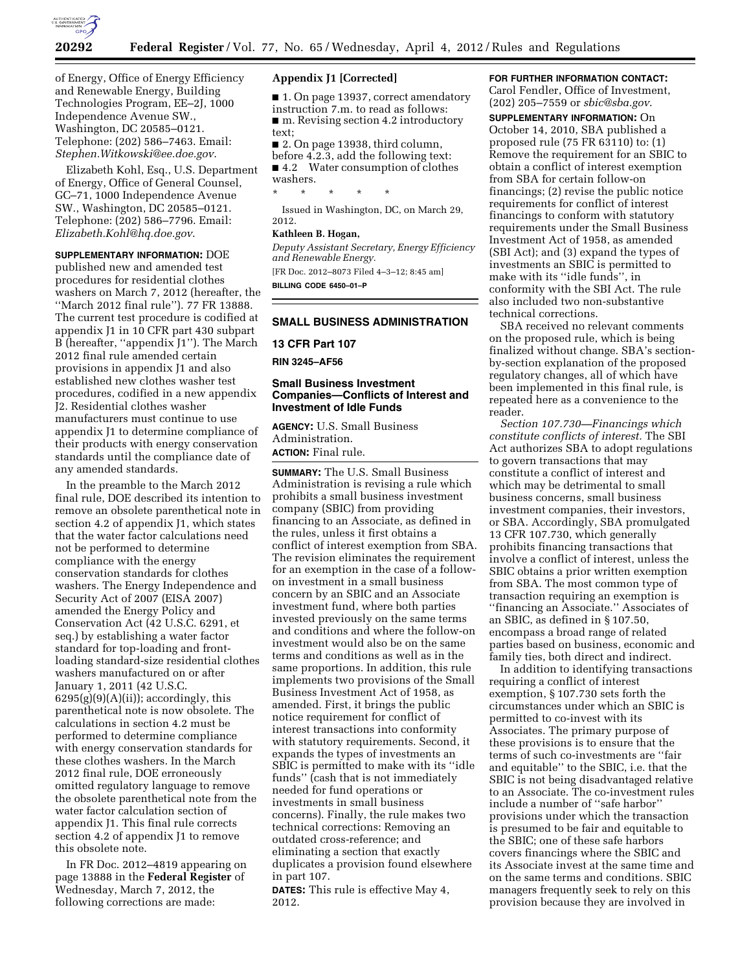

of Energy, Office of Energy Efficiency and Renewable Energy, Building Technologies Program, EE–2J, 1000 Independence Avenue SW., Washington, DC 20585–0121. Telephone: (202) 586–7463. Email: *[Stephen.Witkowski@ee.doe.gov](mailto:Stephen.Witkowski@ee.doe.gov)*.

Elizabeth Kohl, Esq., U.S. Department of Energy, Office of General Counsel, GC–71, 1000 Independence Avenue SW., Washington, DC 20585–0121. Telephone: (202) 586–7796. Email: *[Elizabeth.Kohl@hq.doe.gov](mailto:Elizabeth.Kohl@hq.doe.gov)*.

**SUPPLEMENTARY INFORMATION:** DOE published new and amended test procedures for residential clothes washers on March 7, 2012 (hereafter, the ''March 2012 final rule''). 77 FR 13888. The current test procedure is codified at appendix J1 in 10 CFR part 430 subpart B (hereafter, ''appendix J1''). The March 2012 final rule amended certain provisions in appendix J1 and also established new clothes washer test procedures, codified in a new appendix J2. Residential clothes washer manufacturers must continue to use appendix J1 to determine compliance of their products with energy conservation standards until the compliance date of any amended standards.

In the preamble to the March 2012 final rule, DOE described its intention to remove an obsolete parenthetical note in section 4.2 of appendix J1, which states that the water factor calculations need not be performed to determine compliance with the energy conservation standards for clothes washers. The Energy Independence and Security Act of 2007 (EISA 2007) amended the Energy Policy and Conservation Act (42 U.S.C. 6291, et seq.) by establishing a water factor standard for top-loading and frontloading standard-size residential clothes washers manufactured on or after January 1, 2011 (42 U.S.C.  $6295(g)(9)(A)(ii)$ ; accordingly, this parenthetical note is now obsolete. The calculations in section 4.2 must be performed to determine compliance with energy conservation standards for these clothes washers. In the March 2012 final rule, DOE erroneously omitted regulatory language to remove the obsolete parenthetical note from the water factor calculation section of appendix J1. This final rule corrects section 4.2 of appendix J1 to remove this obsolete note.

In FR Doc. 2012–4819 appearing on page 13888 in the **Federal Register** of Wednesday, March 7, 2012, the following corrections are made:

### **Appendix J1 [Corrected]**

■ 1. On page 13937, correct amendatory instruction 7.m. to read as follows: ■ m. Revising section 4.2 introductory text;

■ 2. On page 13938, third column, before 4.2.3, add the following text: ■ 4.2 Water consumption of clothes

washers.

\* \* \* \* \*

Issued in Washington, DC, on March 29, 2012.

## **Kathleen B. Hogan,**

*Deputy Assistant Secretary, Energy Efficiency and Renewable Energy.*  [FR Doc. 2012–8073 Filed 4–3–12; 8:45 am] **BILLING CODE 6450–01–P** 

#### **SMALL BUSINESS ADMINISTRATION**

### **13 CFR Part 107**

**RIN 3245–AF56** 

## **Small Business Investment Companies—Conflicts of Interest and Investment of Idle Funds**

**AGENCY:** U.S. Small Business Administration. **ACTION:** Final rule.

**SUMMARY:** The U.S. Small Business Administration is revising a rule which prohibits a small business investment company (SBIC) from providing financing to an Associate, as defined in the rules, unless it first obtains a conflict of interest exemption from SBA. The revision eliminates the requirement for an exemption in the case of a followon investment in a small business concern by an SBIC and an Associate investment fund, where both parties invested previously on the same terms and conditions and where the follow-on investment would also be on the same terms and conditions as well as in the same proportions. In addition, this rule implements two provisions of the Small Business Investment Act of 1958, as amended. First, it brings the public notice requirement for conflict of interest transactions into conformity with statutory requirements. Second, it expands the types of investments an SBIC is permitted to make with its ''idle funds'' (cash that is not immediately needed for fund operations or investments in small business concerns). Finally, the rule makes two technical corrections: Removing an outdated cross-reference; and eliminating a section that exactly duplicates a provision found elsewhere in part 107.

**DATES:** This rule is effective May 4, 2012.

## **FOR FURTHER INFORMATION CONTACT:**

Carol Fendler, Office of Investment, (202) 205–7559 or *[sbic@sba.gov](mailto:sbic@sba.gov)*.

**SUPPLEMENTARY INFORMATION:** On October 14, 2010, SBA published a proposed rule (75 FR 63110) to: (1) Remove the requirement for an SBIC to obtain a conflict of interest exemption from SBA for certain follow-on financings; (2) revise the public notice requirements for conflict of interest financings to conform with statutory requirements under the Small Business Investment Act of 1958, as amended (SBI Act); and (3) expand the types of investments an SBIC is permitted to make with its ''idle funds'', in conformity with the SBI Act. The rule also included two non-substantive technical corrections.

SBA received no relevant comments on the proposed rule, which is being finalized without change. SBA's sectionby-section explanation of the proposed regulatory changes, all of which have been implemented in this final rule, is repeated here as a convenience to the reader.

*Section 107.730—Financings which constitute conflicts of interest.* The SBI Act authorizes SBA to adopt regulations to govern transactions that may constitute a conflict of interest and which may be detrimental to small business concerns, small business investment companies, their investors, or SBA. Accordingly, SBA promulgated 13 CFR 107.730, which generally prohibits financing transactions that involve a conflict of interest, unless the SBIC obtains a prior written exemption from SBA. The most common type of transaction requiring an exemption is ''financing an Associate.'' Associates of an SBIC, as defined in § 107.50, encompass a broad range of related parties based on business, economic and family ties, both direct and indirect.

In addition to identifying transactions requiring a conflict of interest exemption, § 107.730 sets forth the circumstances under which an SBIC is permitted to co-invest with its Associates. The primary purpose of these provisions is to ensure that the terms of such co-investments are ''fair and equitable'' to the SBIC, i.e. that the SBIC is not being disadvantaged relative to an Associate. The co-investment rules include a number of ''safe harbor'' provisions under which the transaction is presumed to be fair and equitable to the SBIC; one of these safe harbors covers financings where the SBIC and its Associate invest at the same time and on the same terms and conditions. SBIC managers frequently seek to rely on this provision because they are involved in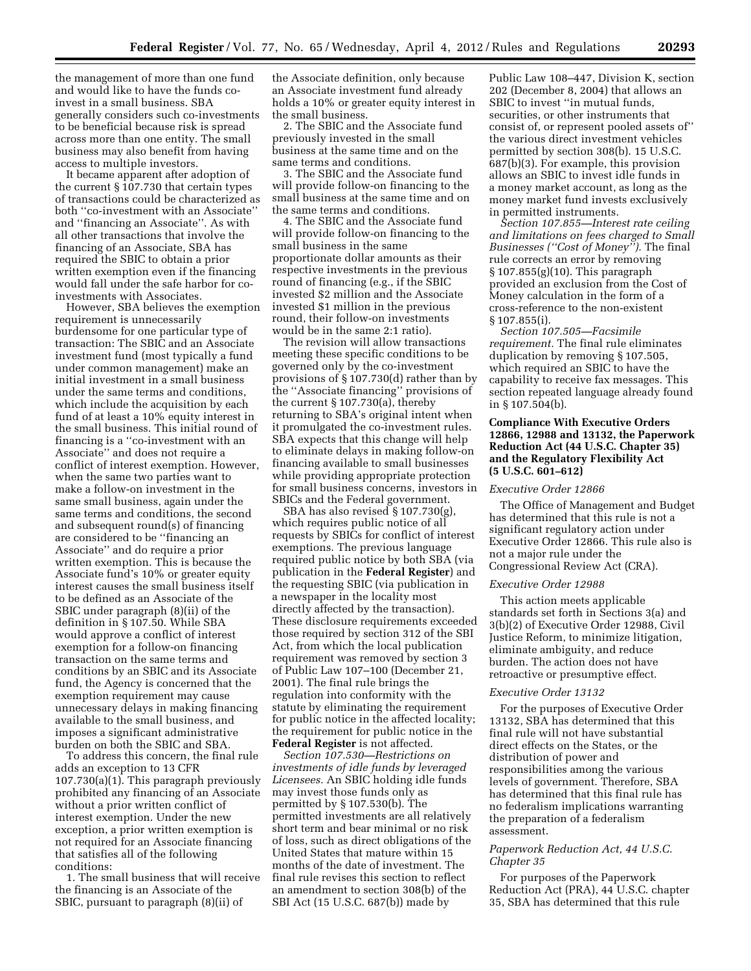the management of more than one fund and would like to have the funds coinvest in a small business. SBA generally considers such co-investments to be beneficial because risk is spread across more than one entity. The small business may also benefit from having access to multiple investors.

It became apparent after adoption of the current § 107.730 that certain types of transactions could be characterized as both ''co-investment with an Associate'' and ''financing an Associate''. As with all other transactions that involve the financing of an Associate, SBA has required the SBIC to obtain a prior written exemption even if the financing would fall under the safe harbor for coinvestments with Associates.

However, SBA believes the exemption requirement is unnecessarily burdensome for one particular type of transaction: The SBIC and an Associate investment fund (most typically a fund under common management) make an initial investment in a small business under the same terms and conditions, which include the acquisition by each fund of at least a 10% equity interest in the small business. This initial round of financing is a ''co-investment with an Associate'' and does not require a conflict of interest exemption. However, when the same two parties want to make a follow-on investment in the same small business, again under the same terms and conditions, the second and subsequent round(s) of financing are considered to be ''financing an Associate'' and do require a prior written exemption. This is because the Associate fund's 10% or greater equity interest causes the small business itself to be defined as an Associate of the SBIC under paragraph (8)(ii) of the definition in § 107.50. While SBA would approve a conflict of interest exemption for a follow-on financing transaction on the same terms and conditions by an SBIC and its Associate fund, the Agency is concerned that the exemption requirement may cause unnecessary delays in making financing available to the small business, and imposes a significant administrative burden on both the SBIC and SBA.

To address this concern, the final rule adds an exception to 13 CFR 107.730(a)(1). This paragraph previously prohibited any financing of an Associate without a prior written conflict of interest exemption. Under the new exception, a prior written exemption is not required for an Associate financing that satisfies all of the following conditions:

1. The small business that will receive the financing is an Associate of the SBIC, pursuant to paragraph (8)(ii) of

the Associate definition, only because an Associate investment fund already holds a 10% or greater equity interest in the small business.

2. The SBIC and the Associate fund previously invested in the small business at the same time and on the same terms and conditions.

3. The SBIC and the Associate fund will provide follow-on financing to the small business at the same time and on the same terms and conditions.

4. The SBIC and the Associate fund will provide follow-on financing to the small business in the same proportionate dollar amounts as their respective investments in the previous round of financing (e.g., if the SBIC invested \$2 million and the Associate invested \$1 million in the previous round, their follow-on investments would be in the same 2:1 ratio).

The revision will allow transactions meeting these specific conditions to be governed only by the co-investment provisions of § 107.730(d) rather than by the ''Associate financing'' provisions of the current § 107.730(a), thereby returning to SBA's original intent when it promulgated the co-investment rules. SBA expects that this change will help to eliminate delays in making follow-on financing available to small businesses while providing appropriate protection for small business concerns, investors in SBICs and the Federal government.

SBA has also revised § 107.730(g), which requires public notice of all requests by SBICs for conflict of interest exemptions. The previous language required public notice by both SBA (via publication in the **Federal Register**) and the requesting SBIC (via publication in a newspaper in the locality most directly affected by the transaction). These disclosure requirements exceeded those required by section 312 of the SBI Act, from which the local publication requirement was removed by section 3 of Public Law 107–100 (December 21, 2001). The final rule brings the regulation into conformity with the statute by eliminating the requirement for public notice in the affected locality; the requirement for public notice in the **Federal Register** is not affected.

*Section 107.530—Restrictions on investments of idle funds by leveraged Licensees.* An SBIC holding idle funds may invest those funds only as permitted by § 107.530(b). The permitted investments are all relatively short term and bear minimal or no risk of loss, such as direct obligations of the United States that mature within 15 months of the date of investment. The final rule revises this section to reflect an amendment to section 308(b) of the SBI Act (15 U.S.C. 687(b)) made by

Public Law 108–447, Division K, section 202 (December 8, 2004) that allows an SBIC to invest ''in mutual funds, securities, or other instruments that consist of, or represent pooled assets of'' the various direct investment vehicles permitted by section 308(b). 15 U.S.C. 687(b)(3). For example, this provision allows an SBIC to invest idle funds in a money market account, as long as the money market fund invests exclusively in permitted instruments.

*Section 107.855—Interest rate ceiling and limitations on fees charged to Small Businesses (''Cost of Money'').* The final rule corrects an error by removing § 107.855(g)(10). This paragraph provided an exclusion from the Cost of Money calculation in the form of a cross-reference to the non-existent § 107.855(i).

*Section 107.505—Facsimile requirement.* The final rule eliminates duplication by removing § 107.505, which required an SBIC to have the capability to receive fax messages. This section repeated language already found in § 107.504(b).

# **Compliance With Executive Orders 12866, 12988 and 13132, the Paperwork Reduction Act (44 U.S.C. Chapter 35) and the Regulatory Flexibility Act (5 U.S.C. 601–612)**

### *Executive Order 12866*

The Office of Management and Budget has determined that this rule is not a significant regulatory action under Executive Order 12866. This rule also is not a major rule under the Congressional Review Act (CRA).

#### *Executive Order 12988*

This action meets applicable standards set forth in Sections 3(a) and 3(b)(2) of Executive Order 12988, Civil Justice Reform, to minimize litigation, eliminate ambiguity, and reduce burden. The action does not have retroactive or presumptive effect.

#### *Executive Order 13132*

For the purposes of Executive Order 13132, SBA has determined that this final rule will not have substantial direct effects on the States, or the distribution of power and responsibilities among the various levels of government. Therefore, SBA has determined that this final rule has no federalism implications warranting the preparation of a federalism assessment.

## *Paperwork Reduction Act, 44 U.S.C. Chapter 35*

For purposes of the Paperwork Reduction Act (PRA), 44 U.S.C. chapter 35, SBA has determined that this rule